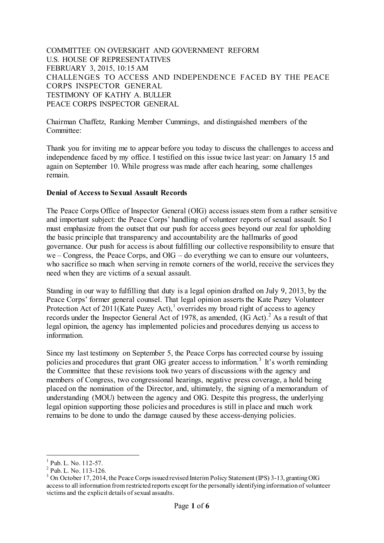COMMITTEE ON OVERSIGHT AND GOVERNMENT REFORM U.S. HOUSE OF REPRESENTATIVES FEBRUARY 3, 2015, 10:15 AM CHALLENGES TO ACCESS AND INDEPENDENCE FACED BY THE PEACE CORPS INSPECTOR GENERAL TESTIMONY OF KATHY A. BULLER PEACE CORPS INSPECTOR GENERAL

Chairman Chaffetz, Ranking Member Cummings, and distinguished members of the Committee:

Thank you for inviting me to appear before you today to discuss the challenges to access and independence faced by my office. I testified on this issue twice last year: on January 15 and again on September 10. While progress was made after each hearing, some challenges remain.

#### **Denial of Access to Sexual Assault Records**

The Peace Corps Office of Inspector General (OIG) access issues stem from a rather sensitive and important subject: the Peace Corps' handling of volunteer reports of sexual assault. So I must emphasize from the outset that our push for access goes beyond our zeal for upholding the basic principle that transparency and accountability are the hallmarks of good governance. Our push for access is about fulfilling our collective responsibility to ensure that we – Congress, the Peace Corps, and OIG – do everything we can to ensure our volunteers, who sacrifice so much when serving in remote corners of the world, receive the services they need when they are victims of a sexual assault.

Standing in our way to fulfilling that duty is a legal opinion drafted on July 9, 2013, by the Peace Corps' former general counsel. That legal opinion asserts the Kate Puzey Volunteer Protection Act of  $2011$  $2011$  $2011$ (Kate Puzey Act),<sup>1</sup> overrides my broad right of access to agency records under the Inspector General Act of 1978, as amended,  $(IG Act)<sup>2</sup>$  $(IG Act)<sup>2</sup>$  $(IG Act)<sup>2</sup>$  As a result of that legal opinion, the agency has implemented policies and procedures denying us access to information.

Since my last testimony on September 5, the Peace Corps has corrected course by issuing policies and procedures that grant OIG greater access to information.<sup>[3](#page-0-2)</sup> It's worth reminding the Committee that these revisions took two years of discussions with the agency and members of Congress, two congressional hearings, negative press coverage, a hold being placed on the nomination of the Director, and, ultimately, the signing of a memorandum of understanding (MOU) between the agency and OIG. Despite this progress, the underlying legal opinion supporting those policies and procedures is still in place and much work remains to be done to undo the damage caused by these access-denying policies.

<span id="page-0-0"></span> $1 \text{ Pub. L. No. } 112-57.$ <br> $2 \text{ Pub. L. No. } 113-126.$ 

<span id="page-0-2"></span><span id="page-0-1"></span><sup>&</sup>lt;sup>3</sup> On October 17, 2014, the Peace Corps issued revised Interim Policy Statement (IPS) 3-13, granting OIG access to all information from restricted reports except for the personally identifying information of volunteer victims and the explicit details of sexual assaults.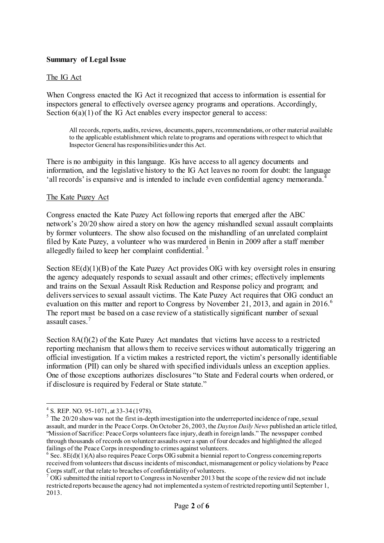### **Summary of Legal Issue**

#### The IG Act

When Congress enacted the IG Act it recognized that access to information is essential for inspectors general to effectively oversee agency programs and operations. Accordingly, Section  $6(a)(1)$  of the IG Act enables every inspector general to access:

All records, reports, audits, reviews, documents, papers, recommendations, or other material available to the applicable establishment which relate to programs and operations with respect to which that Inspector General has responsibilities under this Act.

There is no ambiguity in this language. IGs have access to all agency documents and information, and the legislative history to the IG Act leaves no room for doubt: the language 'all records' is expansive and is intended to include even confidential agency memoranda.<sup>[4](#page-1-0)</sup>

#### The Kate Puzey Act

Congress enacted the Kate Puzey Act following reports that emerged after the ABC network's 20/20 show aired a story on how the agency mishandled sexual assault complaints by former volunteers. The show also focused on the mishandling of an unrelated complaint filed by Kate Puzey, a volunteer who was murdered in Benin in 2009 after a staff member allegedly failed to keep her complaint confidential. [5](#page-1-1)

Section 8E(d)(1)(B) of the Kate Puzey Act provides OIG with key oversight roles in ensuring the agency adequately responds to sexual assault and other crimes; effectively implements and trains on the Sexual Assault Risk Reduction and Response policy and program; and delivers services to sexual assault victims. The Kate Puzey Act requires that OIG conduct an evaluation on this matter and report to Congress by November 21, 2013, and again in  $2016$  $2016$ .<sup>6</sup> The report must be based on a case review of a statistically significant number of sexual assault cases<sup>[7](#page-1-3)</sup>

Section  $8A(f)(2)$  of the Kate Puzey Act mandates that victims have access to a restricted reporting mechanism that allows them to receive services without automatically triggering an official investigation. If a victim makes a restricted report, the victim's personally identifiable information (PII) can only be shared with specified individuals unless an exception applies. One of those exceptions authorizes disclosures "to State and Federal courts when ordered, or if disclosure is required by Federal or State statute."

<span id="page-1-1"></span><span id="page-1-0"></span><sup>&</sup>lt;sup>4</sup> S. REP. NO. 95-1071, at 33-34 (1978).<br><sup>5</sup> The 20/20 show was not the first in-depth investigation into the underreported incidence of rape, sexual assault, and murder in the Peace Corps. On October 26, 2003, the *Dayton Daily News* published an article titled, "Mission of Sacrifice: Peace Corps volunteers face injury, death in foreign lands." The newspaper combed through thousands of records on volunteer assaults over a span of four decades and highlighted the alleged

<span id="page-1-2"></span> $6$  Sec. 8E(d)(1)(A) also requires Peace Corps OIG submit a biennial report to Congress concerning reports received from volunteers that discuss incidents of misconduct, mismanagement or policy violations by Peace Corps staff, or that relate to breaches of confidentiality of volunteers.<br><sup>7</sup> OIG submitted the initial report to Congress in November 2013 but the scope of the review did not include

<span id="page-1-3"></span>restricted reports because the agency had not implemented a system of restricted reporting until September 1, 2013.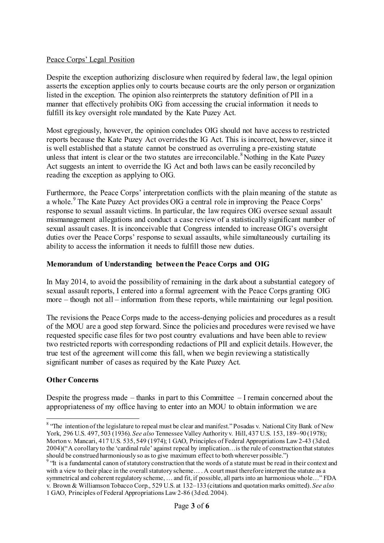## Peace Corps' Legal Position

Despite the exception authorizing disclosure when required by federal law, the legal opinion asserts the exception applies only to courts because courts are the only person or organization listed in the exception. The opinion also reinterprets the statutory definition of PII in a manner that effectively prohibits OIG from accessing the crucial information it needs to fulfill its key oversight role mandated by the Kate Puzey Act.

Most egregiously, however, the opinion concludes OIG should not have access to restricted reports because the Kate Puzey Act overrides the IG Act. This is incorrect, however, since it is well established that a statute cannot be construed as overruling a pre-existing statute unless that intent is clear or the two statutes are irreconcilable.<sup>[8](#page-2-0)</sup> Nothing in the Kate Puzey Act suggests an intent to override the IG Act and both laws can be easily reconciled by reading the exception as applying to OIG.

Furthermore, the Peace Corps' interpretation conflicts with the plain meaning of the statute as a whole.<sup>[9](#page-2-1)</sup> The Kate Puzey Act provides OIG a central role in improving the Peace Corps' response to sexual assault victims. In particular, the law requires OIG oversee sexual assault mismanagement allegations and conduct a case review of a statistically significant number of sexual assault cases. It is inconceivable that Congress intended to increase OIG's oversight duties over the Peace Corps' response to sexual assaults, while simultaneously curtailing its ability to access the information it needs to fulfill those new duties.

# **Memorandum of Understanding between the Peace Corps and OIG**

In May 2014, to avoid the possibility of remaining in the dark about a substantial category of sexual assault reports, I entered into a formal agreement with the Peace Corps granting OIG more – though not all – information from these reports, while maintaining our legal position.

The revisions the Peace Corps made to the access-denying policies and procedures as a result of the MOU are a good step forward. Since the policies and procedures were revised we have requested specific case files for two post country evaluations and have been able to review two restricted reports with corresponding redactions of PII and explicit details. However, the true test of the agreement will come this fall, when we begin reviewing a statistically significant number of cases as required by the Kate Puzey Act.

## **Other Concerns**

Despite the progress made – thanks in part to this Committee – I remain concerned about the appropriateness of my office having to enter into an MOU to obtain information we are

<span id="page-2-0"></span><sup>&</sup>lt;sup>8</sup> "The intention of the legislature to repeal must be clear and manifest." Posadas v. National City Bank of New York, 296 U.S. 497, 503 (1936). *See also* Tennessee Valley Authority v. Hill, 437 U.S. 153, 189–90 (1978); Morton v. Mancari, 417 U.S. 535, 549 (1974); 1 GAO, Principles of Federal Appropriations Law 2-43 (3d ed. 2004)("A corollary to the 'cardinal rule' against repeal by implication…is the rule of construction that statutes should be construed harmoniously so as to give maximum effect to both wherever possible.")<br><sup>9</sup> "It is a fundamental canon of statutory construction that the words of a statute must be read in their context and

<span id="page-2-1"></span>with a view to their place in the overall statutory scheme.... A court must therefore interpret the statute as a symmetrical and coherent regulatory scheme, … and fit, if possible, all parts into an harmonious whole…" FDA v. Brown & Williamson Tobacco Corp., 529 U.S. at 132–133 (citations and quotation marks omitted). *See also*  1 GAO, Principles of Federal Appropriations Law 2-86 (3d ed. 2004).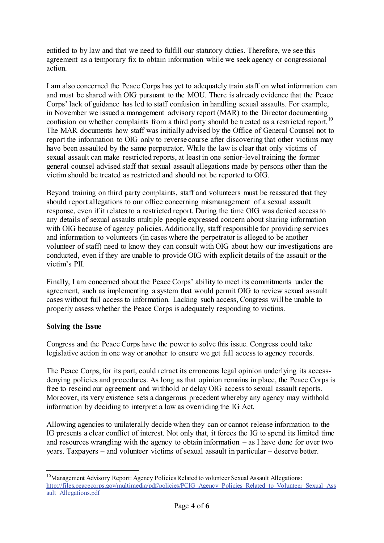entitled to by law and that we need to fulfill our statutory duties. Therefore, we see this agreement as a temporary fix to obtain information while we seek agency or congressional action.

I am also concerned the Peace Corps has yet to adequately train staff on what information can and must be shared with OIG pursuant to the MOU. There is already evidence that the Peace Corps' lack of guidance has led to staff confusion in handling sexual assaults. For example, in November we issued a management advisory report (MAR) to the Director documenting confusion on whether complaints from a third party should be treated as a restricted report.<sup>[10](#page-3-0)</sup> The MAR documents how staff was initially advised by the Office of General Counsel not to report the information to OIG only to reverse course after discovering that other victims may have been assaulted by the same perpetrator. While the law is clear that only victims of sexual assault can make restricted reports, at least in one senior-level training the former general counsel advised staff that sexual assault allegations made by persons other than the victim should be treated as restricted and should not be reported to OIG.

Beyond training on third party complaints, staff and volunteers must be reassured that they should report allegations to our office concerning mismanagement of a sexual assault response, even if it relates to a restricted report. During the time OIG was denied access to any details of sexual assaults multiple people expressed concern about sharing information with OIG because of agency policies. Additionally, staff responsible for providing services and information to volunteers (in cases where the perpetrator is alleged to be another volunteer of staff) need to know they can consult with OIG about how our investigations are conducted, even if they are unable to provide OIG with explicit details of the assault or the victim's PII.

Finally, I am concerned about the Peace Corps' ability to meet its commitments under the agreement, such as implementing a system that would permit OIG to review sexual assault cases without full access to information. Lacking such access, Congress will be unable to properly assess whether the Peace Corps is adequately responding to victims.

## **Solving the Issue**

Congress and the Peace Corps have the power to solve this issue. Congress could take legislative action in one way or another to ensure we get full access to agency records.

The Peace Corps, for its part, could retract its erroneous legal opinion underlying its accessdenying policies and procedures. As long as that opinion remains in place, the Peace Corps is free to rescind our agreement and withhold or delay OIG access to sexual assault reports. Moreover, its very existence sets a dangerous precedent whereby any agency may withhold information by deciding to interpret a law as overriding the IG Act.

Allowing agencies to unilaterally decide when they can or cannot release information to the IG presents a clear conflict of interest. Not only that, it forces the IG to spend its limited time and resources wrangling with the agency to obtain information  $-$  as I have done for over two years. Taxpayers – and volunteer victims of sexual assault in particular – deserve better.

<span id="page-3-0"></span><sup>&</sup>lt;sup>10</sup>Management Advisory Report: Agency Policies Related to volunteer Sexual Assault Allegations: [http://files.peacecorps.gov/multimedia/pdf/policies/PCIG\\_Agency\\_Policies\\_Related\\_to\\_Volunteer\\_Sexual\\_Ass](http://files.peacecorps.gov/multimedia/pdf/policies/PCIG_Agency_Policies_Related_to_Volunteer_Sexual_Assault_Allegations.pdf) [ault\\_Allegations.pdf](http://files.peacecorps.gov/multimedia/pdf/policies/PCIG_Agency_Policies_Related_to_Volunteer_Sexual_Assault_Allegations.pdf)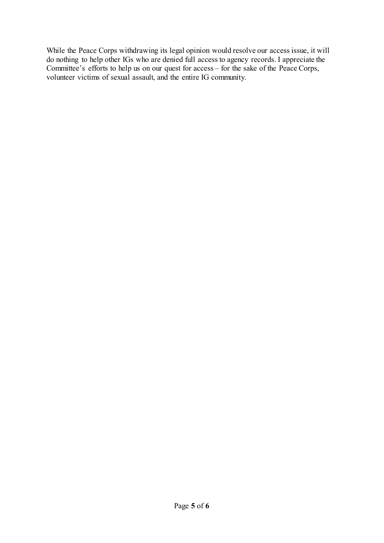While the Peace Corps withdrawing its legal opinion would resolve our access issue, it will do nothing to help other IGs who are denied full access to agency records. I appreciate the Committee's efforts to help us on our quest for access – for the sake of the Peace Corps, volunteer victims of sexual assault, and the entire IG community.